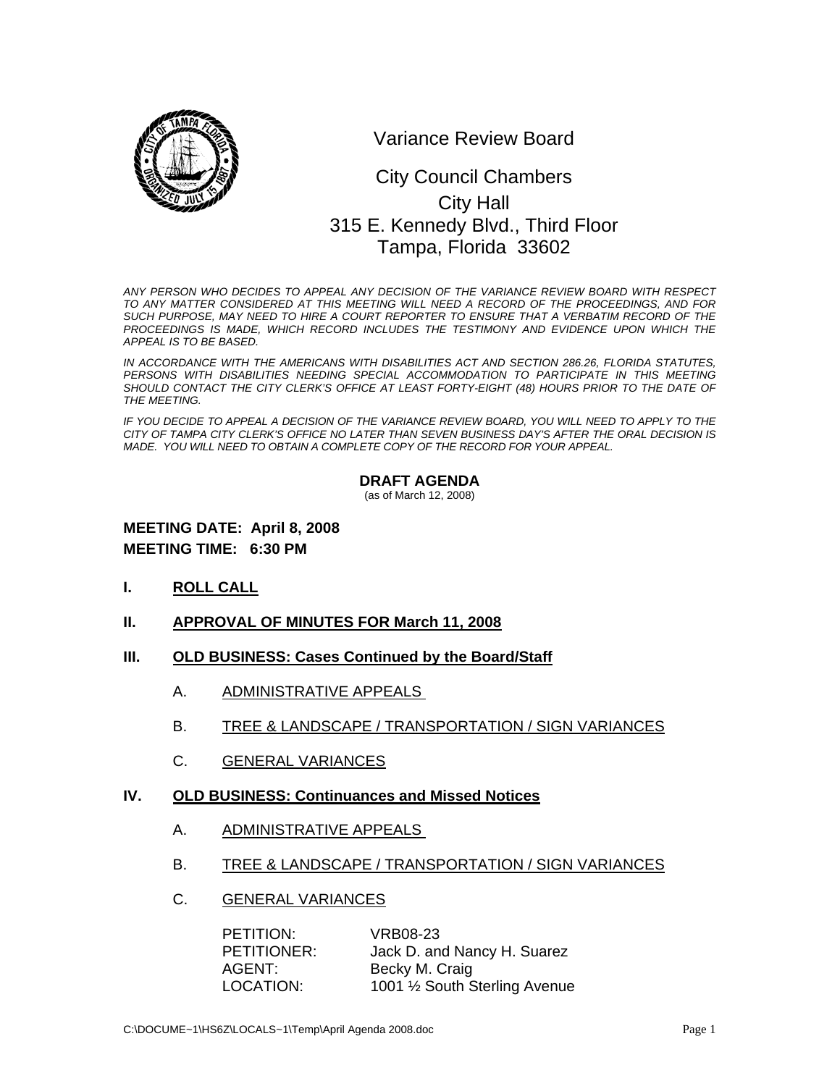

Variance Review Board

# 0 315 E. Kennedy Blvd., Third Floor City Council Chambers City Hall Tampa, Florida 33602

*ANY PERSON WHO DECIDES TO APPEAL ANY DECISION OF THE VARIANCE REVIEW BOARD WITH RESPECT TO ANY MATTER CONSIDERED AT THIS MEETING WILL NEED A RECORD OF THE PROCEEDINGS, AND FOR SUCH PURPOSE, MAY NEED TO HIRE A COURT REPORTER TO ENSURE THAT A VERBATIM RECORD OF THE*  PROCEEDINGS IS MADE, WHICH RECORD INCLUDES THE TESTIMONY AND EVIDENCE UPON WHICH THE *APPEAL IS TO BE BASED.* 

*IN ACCORDANCE WITH THE AMERICANS WITH DISABILITIES ACT AND SECTION 286.26, FLORIDA STATUTES, PERSONS WITH DISABILITIES NEEDING SPECIAL ACCOMMODATION TO PARTICIPATE IN THIS MEETING*  SHOULD CONTACT THE CITY CLERK'S OFFICE AT LEAST FORTY-EIGHT (48) HOURS PRIOR TO THE DATE OF *THE MEETING.* 

*IF YOU DECIDE TO APPEAL A DECISION OF THE VARIANCE REVIEW BOARD, YOU WILL NEED TO APPLY TO THE CITY OF TAMPA CITY CLERK'S OFFICE NO LATER THAN SEVEN BUSINESS DAY'S AFTER THE ORAL DECISION IS MADE. YOU WILL NEED TO OBTAIN A COMPLETE COPY OF THE RECORD FOR YOUR APPEAL.* 

#### **DRAFT AGENDA**

(as of March 12, 2008)

# **MEETING DATE: April 8, 2008 MEETING TIME: 6:30 PM**

- **I. ROLL CALL**
- **II. APPROVAL OF MINUTES FOR March 11, 2008**
- **III. OLD BUSINESS: Cases Continued by the Board/Staff**
	- A. ADMINISTRATIVE APPEALS
	- B. TREE & LANDSCAPE / TRANSPORTATION / SIGN VARIANCES
	- C. GENERAL VARIANCES
- **IV. OLD BUSINESS: Continuances and Missed Notices**
	- A. ADMINISTRATIVE APPEALS
	- B. TREE & LANDSCAPE / TRANSPORTATION / SIGN VARIANCES
	- C. GENERAL VARIANCES

| PETITION:   | VRB08-23                       |
|-------------|--------------------------------|
| PETITIONER: | Jack D. and Nancy H. Suarez    |
| AGENT:      | Becky M. Craig                 |
| LOCATION:   | 1001 1/2 South Sterling Avenue |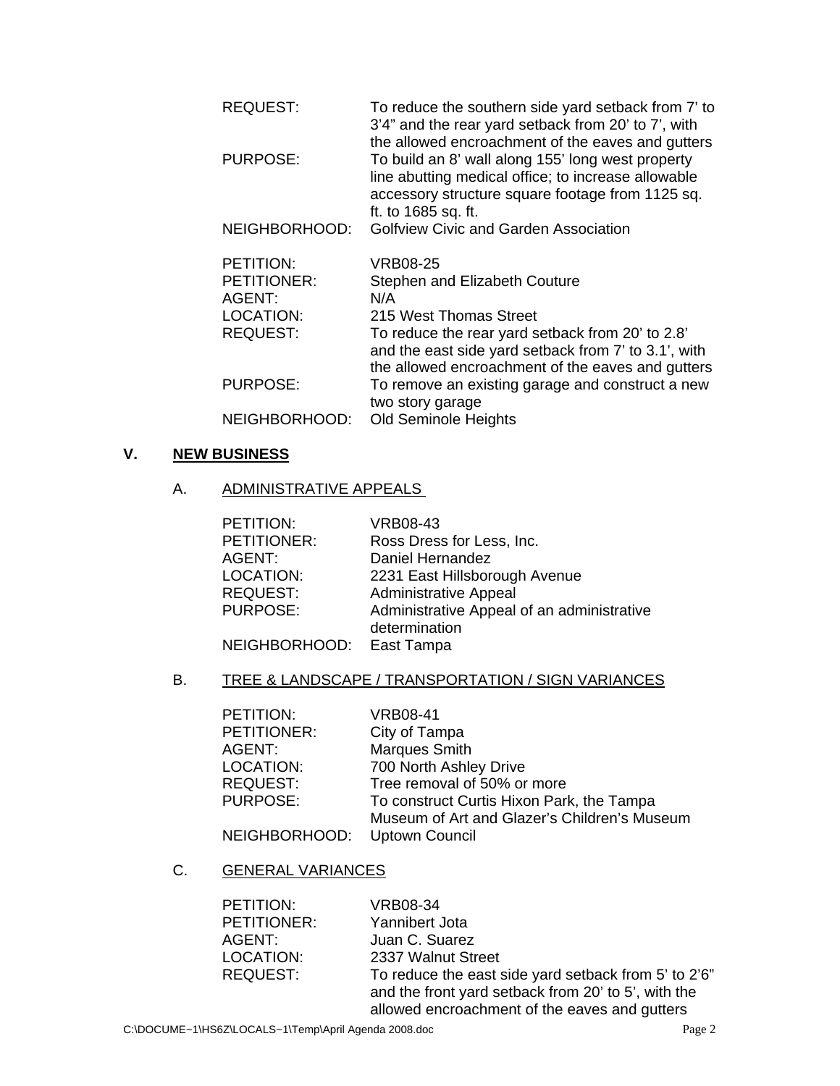| <b>REQUEST:</b>  | To reduce the southern side yard setback from 7' to<br>3'4" and the rear yard setback from 20' to 7', with<br>the allowed encroachment of the eaves and gutters                     |
|------------------|-------------------------------------------------------------------------------------------------------------------------------------------------------------------------------------|
| PURPOSE:         | To build an 8' wall along 155' long west property<br>line abutting medical office; to increase allowable<br>accessory structure square footage from 1125 sq.<br>ft. to 1685 sq. ft. |
| NEIGHBORHOOD:    | <b>Golfview Civic and Garden Association</b>                                                                                                                                        |
| PETITION:        | <b>VRB08-25</b>                                                                                                                                                                     |
| PETITIONER:      | Stephen and Elizabeth Couture                                                                                                                                                       |
| AGENT:           | N/A                                                                                                                                                                                 |
| <b>LOCATION:</b> | 215 West Thomas Street                                                                                                                                                              |
| <b>REQUEST:</b>  | To reduce the rear yard setback from 20' to 2.8'<br>and the east side yard setback from 7' to 3.1', with<br>the allowed encroachment of the eaves and gutters                       |
| <b>PURPOSE:</b>  | To remove an existing garage and construct a new<br>two story garage                                                                                                                |
| NEIGHBORHOOD:    | <b>Old Seminole Heights</b>                                                                                                                                                         |

# **V. NEW BUSINESS**

# A. ADMINISTRATIVE APPEALS

| PETITION:                | <b>VRB08-43</b>                            |
|--------------------------|--------------------------------------------|
| PETITIONER:              | Ross Dress for Less, Inc.                  |
| AGENT:                   | Daniel Hernandez                           |
| LOCATION:                | 2231 East Hillsborough Avenue              |
| <b>REQUEST:</b>          | <b>Administrative Appeal</b>               |
| <b>PURPOSE:</b>          | Administrative Appeal of an administrative |
|                          | determination                              |
| NEIGHBORHOOD: East Tampa |                                            |

# B. TREE & LANDSCAPE / TRANSPORTATION / SIGN VARIANCES

| PETITION:       | <b>VRB08-41</b>                              |
|-----------------|----------------------------------------------|
| PETITIONER:     | City of Tampa                                |
| AGENT:          | Marques Smith                                |
| LOCATION:       | 700 North Ashley Drive                       |
| <b>REQUEST:</b> | Tree removal of 50% or more                  |
| <b>PURPOSE:</b> | To construct Curtis Hixon Park, the Tampa    |
|                 | Museum of Art and Glazer's Children's Museum |
| NEIGHBORHOOD:   | <b>Uptown Council</b>                        |

# C. GENERAL VARIANCES

| PETITION:       | <b>VRB08-34</b>                                      |
|-----------------|------------------------------------------------------|
| PETITIONER:     | Yannibert Jota                                       |
| AGENT:          | Juan C. Suarez                                       |
| LOCATION:       | 2337 Walnut Street                                   |
| <b>REQUEST:</b> | To reduce the east side yard setback from 5' to 2'6" |
|                 | and the front yard setback from 20' to 5', with the  |
|                 | allowed encroachment of the eaves and gutters        |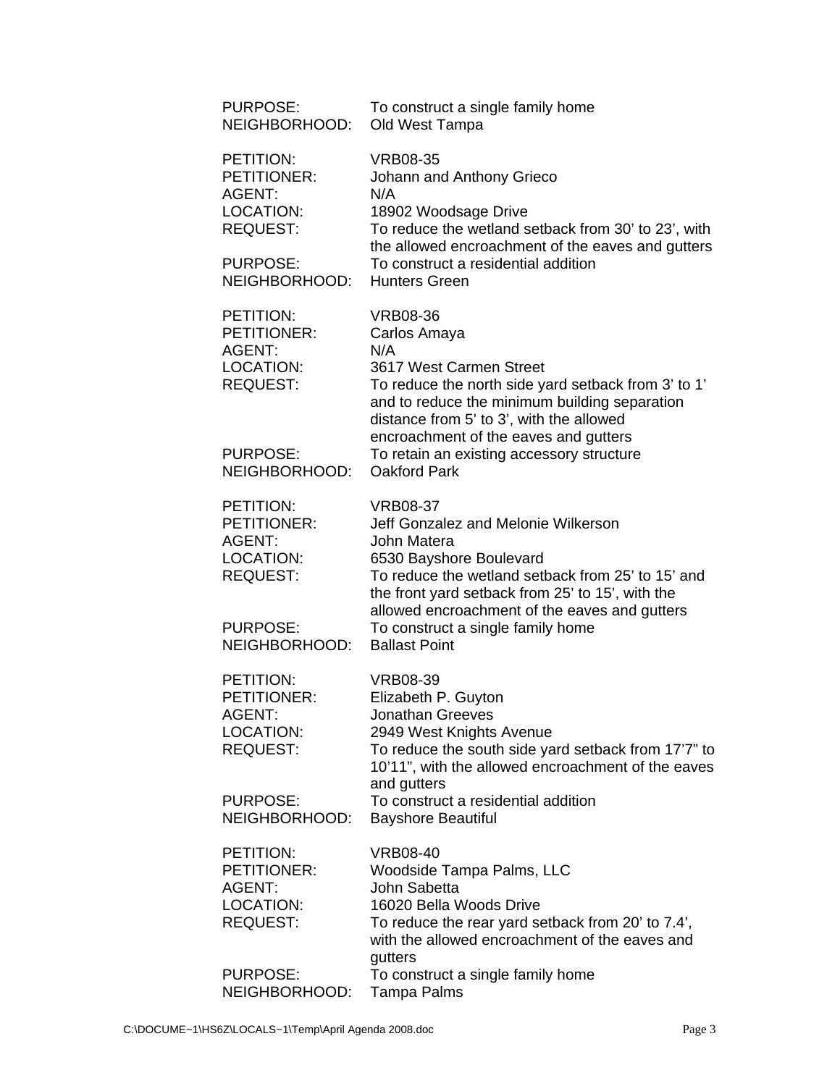| PURPOSE:<br>NEIGHBORHOOD:                                                                                     | To construct a single family home<br>Old West Tampa                                                                                                                                                                                                                                                                                |
|---------------------------------------------------------------------------------------------------------------|------------------------------------------------------------------------------------------------------------------------------------------------------------------------------------------------------------------------------------------------------------------------------------------------------------------------------------|
| PETITION:<br>PETITIONER:<br><b>AGENT:</b><br>LOCATION:<br><b>REQUEST:</b>                                     | <b>VRB08-35</b><br>Johann and Anthony Grieco<br>N/A<br>18902 Woodsage Drive<br>To reduce the wetland setback from 30' to 23', with                                                                                                                                                                                                 |
| <b>PURPOSE:</b><br>NEIGHBORHOOD:                                                                              | the allowed encroachment of the eaves and gutters<br>To construct a residential addition<br><b>Hunters Green</b>                                                                                                                                                                                                                   |
| PETITION:<br>PETITIONER:<br><b>AGENT:</b><br>LOCATION:<br><b>REQUEST:</b><br><b>PURPOSE:</b><br>NEIGHBORHOOD: | <b>VRB08-36</b><br>Carlos Amaya<br>N/A<br>3617 West Carmen Street<br>To reduce the north side yard setback from 3' to 1'<br>and to reduce the minimum building separation<br>distance from 5' to 3', with the allowed<br>encroachment of the eaves and gutters<br>To retain an existing accessory structure<br><b>Oakford Park</b> |
| PETITION:<br>PETITIONER:<br><b>AGENT:</b><br>LOCATION:<br><b>REQUEST:</b><br><b>PURPOSE:</b><br>NEIGHBORHOOD: | <b>VRB08-37</b><br>Jeff Gonzalez and Melonie Wilkerson<br>John Matera<br>6530 Bayshore Boulevard<br>To reduce the wetland setback from 25' to 15' and<br>the front yard setback from 25' to 15', with the<br>allowed encroachment of the eaves and gutters<br>To construct a single family home<br><b>Ballast Point</b>            |
| PETITION:<br>PETITIONER:<br>AGENT:<br>LOCATION:<br><b>REQUEST:</b><br>PURPOSE:<br>NEIGHBORHOOD:               | <b>VRB08-39</b><br>Elizabeth P. Guyton<br>Jonathan Greeves<br>2949 West Knights Avenue<br>To reduce the south side yard setback from 17'7" to<br>10'11", with the allowed encroachment of the eaves<br>and gutters<br>To construct a residential addition<br><b>Bayshore Beautiful</b>                                             |
| PETITION:<br>PETITIONER:<br>AGENT:<br><b>LOCATION:</b><br><b>REQUEST:</b>                                     | <b>VRB08-40</b><br><b>Woodside Tampa Palms, LLC</b><br>John Sabetta<br>16020 Bella Woods Drive<br>To reduce the rear yard setback from 20' to 7.4',<br>with the allowed encroachment of the eaves and<br>gutters                                                                                                                   |
| <b>PURPOSE:</b><br>NEIGHBORHOOD:                                                                              | To construct a single family home<br>Tampa Palms                                                                                                                                                                                                                                                                                   |